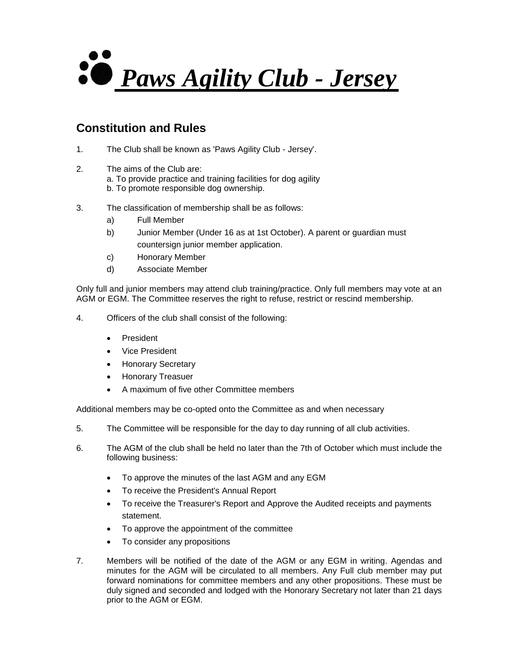

## **Constitution and Rules**

- 1. The Club shall be known as 'Paws Agility Club Jersey'.
- 2. The aims of the Club are: a. To provide practice and training facilities for dog agility b. To promote responsible dog ownership.
- 3. The classification of membership shall be as follows:
	- a) Full Member
	- b) Junior Member (Under 16 as at 1st October). A parent or guardian must countersign junior member application.
	- c) Honorary Member
	- d) Associate Member

Only full and junior members may attend club training/practice. Only full members may vote at an AGM or EGM. The Committee reserves the right to refuse, restrict or rescind membership.

- 4. Officers of the club shall consist of the following:
	- President
	- Vice President
	- Honorary Secretary
	- Honorary Treasuer
	- A maximum of five other Committee members

Additional members may be co-opted onto the Committee as and when necessary

- 5. The Committee will be responsible for the day to day running of all club activities.
- 6. The AGM of the club shall be held no later than the 7th of October which must include the following business:
	- To approve the minutes of the last AGM and any EGM
	- To receive the President's Annual Report
	- To receive the Treasurer's Report and Approve the Audited receipts and payments statement.
	- To approve the appointment of the committee
	- To consider any propositions
- 7. Members will be notified of the date of the AGM or any EGM in writing. Agendas and minutes for the AGM will be circulated to all members. Any Full club member may put forward nominations for committee members and any other propositions. These must be duly signed and seconded and lodged with the Honorary Secretary not later than 21 days prior to the AGM or EGM.